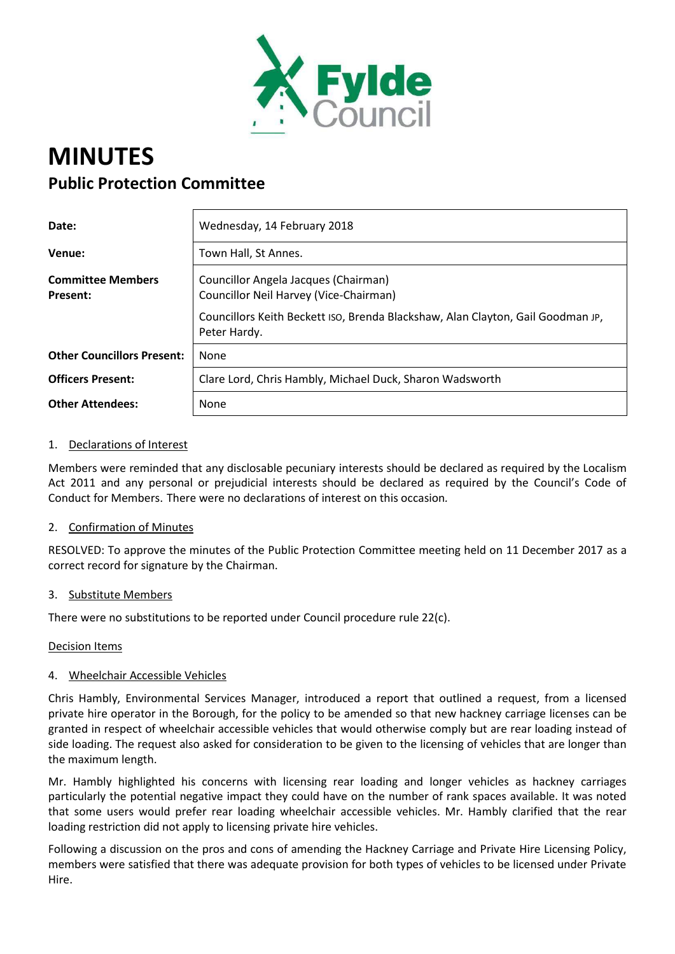

# **MINUTES Public Protection Committee**

| Date:                                       | Wednesday, 14 February 2018                                                                                                                                                       |
|---------------------------------------------|-----------------------------------------------------------------------------------------------------------------------------------------------------------------------------------|
| Venue:                                      | Town Hall, St Annes.                                                                                                                                                              |
| <b>Committee Members</b><br><b>Present:</b> | Councillor Angela Jacques (Chairman)<br>Councillor Neil Harvey (Vice-Chairman)<br>Councillors Keith Beckett ISO, Brenda Blackshaw, Alan Clayton, Gail Goodman JP,<br>Peter Hardy. |
| <b>Other Councillors Present:</b>           | <b>None</b>                                                                                                                                                                       |
| <b>Officers Present:</b>                    | Clare Lord, Chris Hambly, Michael Duck, Sharon Wadsworth                                                                                                                          |
| <b>Other Attendees:</b>                     | None                                                                                                                                                                              |

### 1. Declarations of Interest

Members were reminded that any disclosable pecuniary interests should be declared as required by the Localism Act 2011 and any personal or prejudicial interests should be declared as required by the Council's Code of Conduct for Members. There were no declarations of interest on this occasion*.*

### 2. Confirmation of Minutes

RESOLVED: To approve the minutes of the Public Protection Committee meeting held on 11 December 2017 as a correct record for signature by the Chairman.

### 3. Substitute Members

There were no substitutions to be reported under Council procedure rule 22(c).

### Decision Items

### 4. Wheelchair Accessible Vehicles

Chris Hambly, Environmental Services Manager, introduced a report that outlined a request, from a licensed private hire operator in the Borough, for the policy to be amended so that new hackney carriage licenses can be granted in respect of wheelchair accessible vehicles that would otherwise comply but are rear loading instead of side loading. The request also asked for consideration to be given to the licensing of vehicles that are longer than the maximum length.

Mr. Hambly highlighted his concerns with licensing rear loading and longer vehicles as hackney carriages particularly the potential negative impact they could have on the number of rank spaces available. It was noted that some users would prefer rear loading wheelchair accessible vehicles. Mr. Hambly clarified that the rear loading restriction did not apply to licensing private hire vehicles.

Following a discussion on the pros and cons of amending the Hackney Carriage and Private Hire Licensing Policy, members were satisfied that there was adequate provision for both types of vehicles to be licensed under Private Hire.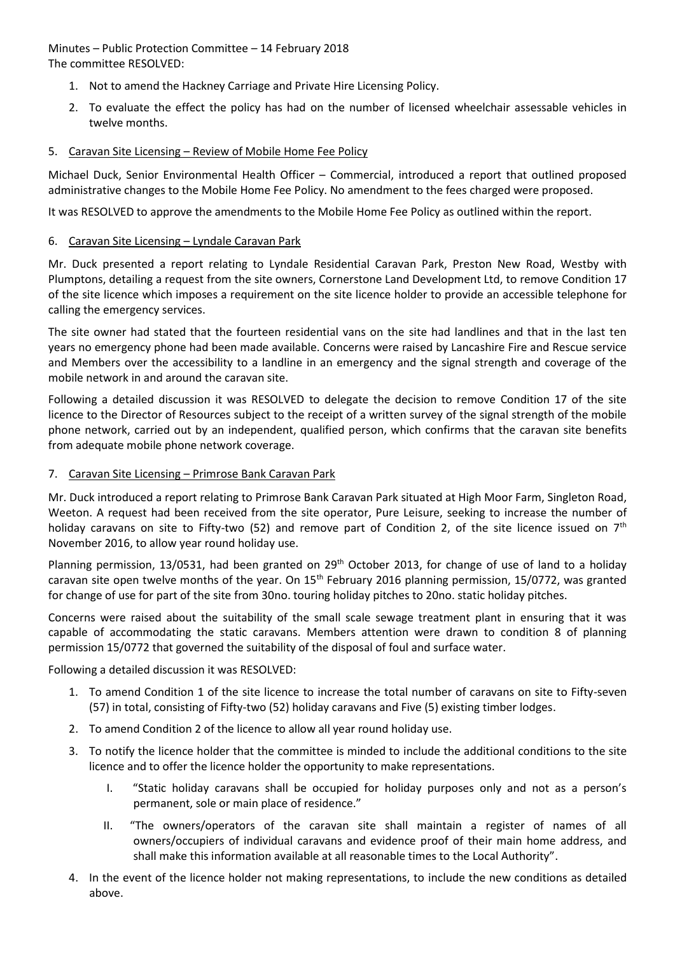Minutes – Public Protection Committee – 14 February 2018 The committee RESOLVED:

- 1. Not to amend the Hackney Carriage and Private Hire Licensing Policy.
- 2. To evaluate the effect the policy has had on the number of licensed wheelchair assessable vehicles in twelve months.

## 5. Caravan Site Licensing – Review of Mobile Home Fee Policy

Michael Duck, Senior Environmental Health Officer – Commercial, introduced a report that outlined proposed administrative changes to the Mobile Home Fee Policy. No amendment to the fees charged were proposed.

It was RESOLVED to approve the amendments to the Mobile Home Fee Policy as outlined within the report.

## 6. Caravan Site Licensing – Lyndale Caravan Park

Mr. Duck presented a report relating to Lyndale Residential Caravan Park, Preston New Road, Westby with Plumptons, detailing a request from the site owners, Cornerstone Land Development Ltd, to remove Condition 17 of the site licence which imposes a requirement on the site licence holder to provide an accessible telephone for calling the emergency services.

The site owner had stated that the fourteen residential vans on the site had landlines and that in the last ten years no emergency phone had been made available. Concerns were raised by Lancashire Fire and Rescue service and Members over the accessibility to a landline in an emergency and the signal strength and coverage of the mobile network in and around the caravan site.

Following a detailed discussion it was RESOLVED to delegate the decision to remove Condition 17 of the site licence to the Director of Resources subject to the receipt of a written survey of the signal strength of the mobile phone network, carried out by an independent, qualified person, which confirms that the caravan site benefits from adequate mobile phone network coverage.

## 7. Caravan Site Licensing – Primrose Bank Caravan Park

Mr. Duck introduced a report relating to Primrose Bank Caravan Park situated at High Moor Farm, Singleton Road, Weeton. A request had been received from the site operator, Pure Leisure, seeking to increase the number of holiday caravans on site to Fifty-two (52) and remove part of Condition 2, of the site licence issued on  $7<sup>th</sup>$ November 2016, to allow year round holiday use.

Planning permission, 13/0531, had been granted on 29<sup>th</sup> October 2013, for change of use of land to a holiday caravan site open twelve months of the year. On 15<sup>th</sup> February 2016 planning permission, 15/0772, was granted for change of use for part of the site from 30no. touring holiday pitches to 20no. static holiday pitches.

Concerns were raised about the suitability of the small scale sewage treatment plant in ensuring that it was capable of accommodating the static caravans. Members attention were drawn to condition 8 of planning permission 15/0772 that governed the suitability of the disposal of foul and surface water.

Following a detailed discussion it was RESOLVED:

- 1. To amend Condition 1 of the site licence to increase the total number of caravans on site to Fifty-seven (57) in total, consisting of Fifty-two (52) holiday caravans and Five (5) existing timber lodges.
- 2. To amend Condition 2 of the licence to allow all year round holiday use.
- 3. To notify the licence holder that the committee is minded to include the additional conditions to the site licence and to offer the licence holder the opportunity to make representations.
	- I. "Static holiday caravans shall be occupied for holiday purposes only and not as a person's permanent, sole or main place of residence.
	- II. "The owners/operators of the caravan site shall maintain a register of names of all owners/occupiers of individual caravans and evidence proof of their main home address, and shall make this information available at all reasonable times to the Local Authority".
- 4. In the event of the licence holder not making representations, to include the new conditions as detailed above.